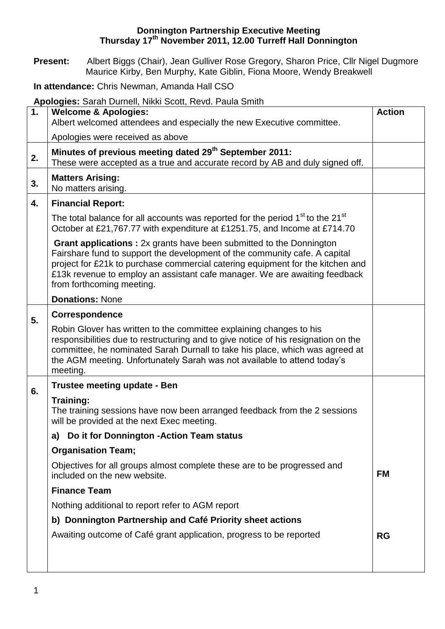## **Donnington Partnership Executive Meeting Thursday 17th November 2011, 12.00 Turreff Hall Donnington**

**Present:** Albert Biggs (Chair), Jean Gulliver Rose Gregory, Sharon Price, Cllr Nigel Dugmore Maurice Kirby, Ben Murphy, Kate Giblin, Fiona Moore, Wendy Breakwell

**In attendance:** Chris Newman, Amanda Hall CSO

**Apologies:** Sarah Durnell, Nikki Scott, Revd. Paula Smith

| 1. | <b>Welcome &amp; Apologies:</b>                                                                                                                                                                                                                                                                                                                        |           |  |  |  |
|----|--------------------------------------------------------------------------------------------------------------------------------------------------------------------------------------------------------------------------------------------------------------------------------------------------------------------------------------------------------|-----------|--|--|--|
|    | Albert welcomed attendees and especially the new Executive committee.                                                                                                                                                                                                                                                                                  |           |  |  |  |
|    | Apologies were received as above                                                                                                                                                                                                                                                                                                                       |           |  |  |  |
| 2. | Minutes of previous meeting dated 29 <sup>th</sup> September 2011:<br>These were accepted as a true and accurate record by AB and duly signed off.                                                                                                                                                                                                     |           |  |  |  |
| 3. | <b>Matters Arising:</b><br>No matters arising.                                                                                                                                                                                                                                                                                                         |           |  |  |  |
| 4. | <b>Financial Report:</b>                                                                                                                                                                                                                                                                                                                               |           |  |  |  |
|    | The total balance for all accounts was reported for the period 1 <sup>st</sup> to the 21 <sup>st</sup><br>October at £21,767.77 with expenditure at £1251.75, and Income at £714.70                                                                                                                                                                    |           |  |  |  |
|    | <b>Grant applications :</b> 2x grants have been submitted to the Donnington<br>Fairshare fund to support the development of the community cafe. A capital<br>project for £21k to purchase commercial catering equipment for the kitchen and<br>£13k revenue to employ an assistant cafe manager. We are awaiting feedback<br>from forthcoming meeting. |           |  |  |  |
|    | <b>Donations: None</b>                                                                                                                                                                                                                                                                                                                                 |           |  |  |  |
| 5. | <b>Correspondence</b>                                                                                                                                                                                                                                                                                                                                  |           |  |  |  |
|    | Robin Glover has written to the committee explaining changes to his<br>responsibilities due to restructuring and to give notice of his resignation on the<br>committee, he nominated Sarah Durnall to take his place, which was agreed at<br>the AGM meeting. Unfortunately Sarah was not available to attend today's<br>meeting.                      |           |  |  |  |
|    | Trustee meeting update - Ben                                                                                                                                                                                                                                                                                                                           |           |  |  |  |
| 6. | Training:<br>The training sessions have now been arranged feedback from the 2 sessions<br>will be provided at the next Exec meeting.                                                                                                                                                                                                                   |           |  |  |  |
|    | Do it for Donnington - Action Team status<br>a)                                                                                                                                                                                                                                                                                                        |           |  |  |  |
|    | <b>Organisation Team;</b>                                                                                                                                                                                                                                                                                                                              |           |  |  |  |
|    | Objectives for all groups almost complete these are to be progressed and<br>included on the new website.                                                                                                                                                                                                                                               | <b>FM</b> |  |  |  |
|    | <b>Finance Team</b>                                                                                                                                                                                                                                                                                                                                    |           |  |  |  |
|    | Nothing additional to report refer to AGM report                                                                                                                                                                                                                                                                                                       |           |  |  |  |
|    | b) Donnington Partnership and Café Priority sheet actions                                                                                                                                                                                                                                                                                              |           |  |  |  |
|    | Awaiting outcome of Café grant application, progress to be reported                                                                                                                                                                                                                                                                                    | <b>RG</b> |  |  |  |
|    |                                                                                                                                                                                                                                                                                                                                                        |           |  |  |  |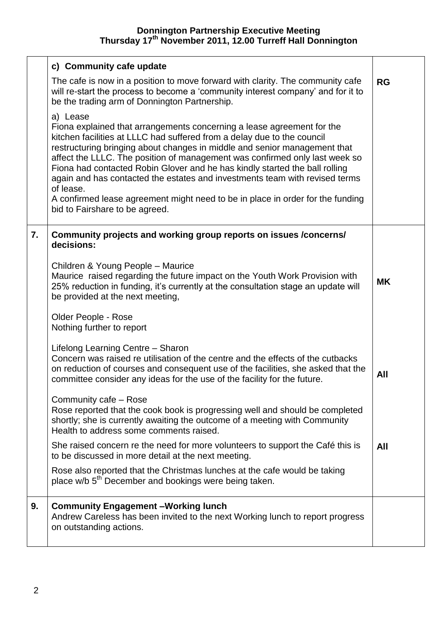## **Donnington Partnership Executive Meeting Thursday 17th November 2011, 12.00 Turreff Hall Donnington**

|    | c) Community cafe update                                                                                                                                                                                                                                                                                                                                                                                                                                                                                                                                                               |           |  |
|----|----------------------------------------------------------------------------------------------------------------------------------------------------------------------------------------------------------------------------------------------------------------------------------------------------------------------------------------------------------------------------------------------------------------------------------------------------------------------------------------------------------------------------------------------------------------------------------------|-----------|--|
|    | The cafe is now in a position to move forward with clarity. The community cafe<br>will re-start the process to become a 'community interest company' and for it to<br>be the trading arm of Donnington Partnership.                                                                                                                                                                                                                                                                                                                                                                    | RG        |  |
|    | a) Lease<br>Fiona explained that arrangements concerning a lease agreement for the<br>kitchen facilities at LLLC had suffered from a delay due to the council<br>restructuring bringing about changes in middle and senior management that<br>affect the LLLC. The position of management was confirmed only last week so<br>Fiona had contacted Robin Glover and he has kindly started the ball rolling<br>again and has contacted the estates and investments team with revised terms<br>of lease.<br>A confirmed lease agreement might need to be in place in order for the funding |           |  |
|    | bid to Fairshare to be agreed.                                                                                                                                                                                                                                                                                                                                                                                                                                                                                                                                                         |           |  |
| 7. | Community projects and working group reports on issues /concerns/<br>decisions:                                                                                                                                                                                                                                                                                                                                                                                                                                                                                                        |           |  |
|    | Children & Young People - Maurice<br>Maurice raised regarding the future impact on the Youth Work Provision with<br>25% reduction in funding, it's currently at the consultation stage an update will<br>be provided at the next meeting,                                                                                                                                                                                                                                                                                                                                              | <b>MK</b> |  |
|    | Older People - Rose<br>Nothing further to report                                                                                                                                                                                                                                                                                                                                                                                                                                                                                                                                       |           |  |
|    | Lifelong Learning Centre - Sharon<br>Concern was raised re utilisation of the centre and the effects of the cutbacks<br>on reduction of courses and consequent use of the facilities, she asked that the<br>committee consider any ideas for the use of the facility for the future.                                                                                                                                                                                                                                                                                                   | All       |  |
|    | Community cafe - Rose<br>Rose reported that the cook book is progressing well and should be completed<br>shortly; she is currently awaiting the outcome of a meeting with Community<br>Health to address some comments raised.                                                                                                                                                                                                                                                                                                                                                         |           |  |
|    | She raised concern re the need for more volunteers to support the Café this is<br>to be discussed in more detail at the next meeting.                                                                                                                                                                                                                                                                                                                                                                                                                                                  | All       |  |
|    | Rose also reported that the Christmas lunches at the cafe would be taking<br>place w/b 5 <sup>th</sup> December and bookings were being taken.                                                                                                                                                                                                                                                                                                                                                                                                                                         |           |  |
| 9. | <b>Community Engagement-Working lunch</b><br>Andrew Careless has been invited to the next Working lunch to report progress<br>on outstanding actions.                                                                                                                                                                                                                                                                                                                                                                                                                                  |           |  |